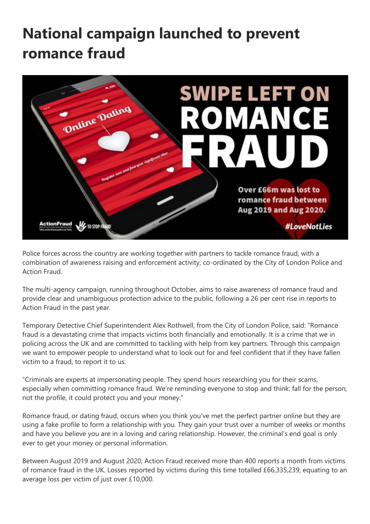## **National campaign launched to prevent romance fraud**



Police forces across the country are working together with partners to tackle romance fraud, with a combination of awareness raising and enforcement activity, co-ordinated by the City of London Police and Action Fraud.

The multi-agency campaign, running throughout October, aims to raise awareness of romance fraud and provide clear and unambiguous protection advice to the public, following a 26 per cent rise in reports to Action Fraud in the past year.

Temporary Detective Chief Superintendent Alex Rothwell, from the City of London Police, said: "Romance fraud is a devastating crime that impacts victims both financially and emotionally. It is a crime that we in policing across the UK and are committed to tackling with help from key partners. Through this campaign we want to empower people to understand what to look out for and feel confident that if they have fallen victim to a fraud, to report it to us.

"Criminals are experts at impersonating people. They spend hours researching you for their scams, especially when committing romance fraud. We're reminding everyone to stop and think: fall for the person, not the profile, it could protect you and your money."

Romance fraud, or dating fraud, occurs when you think you've met the perfect partner online but they are using a fake profile to form a relationship with you. They gain your trust over a number of weeks or months and have you believe you are in a loving and caring relationship. However, the criminal's end goal is only ever to get your money or personal information.

Between August 2019 and August 2020, Action Fraud received more than 400 reports a month from victims of romance fraud in the UK. Losses reported by victims during this time totalled £66,335,239, equating to an average loss per victim of just over £10,000.